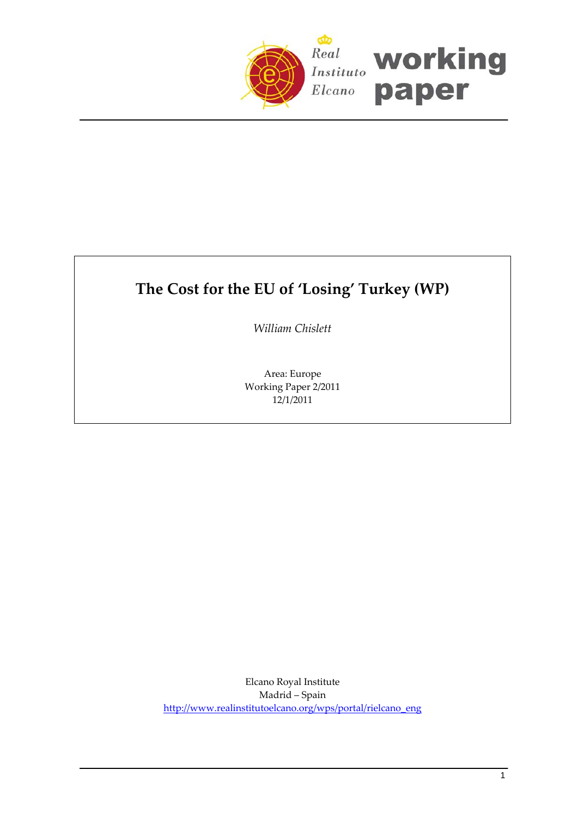

# **The Cost for the EU of 'Losing' Turkey (WP)**

*William Chislett*

Area: Europe Working Paper 2/2011 12/1/2011

Elcano Royal Institute Madrid – Spain [http://www.realinstitutoelcano.org/wps/portal/rielcano\\_eng](http://www.realinstitutoelcano.org/wps/portal/rielcano_eng)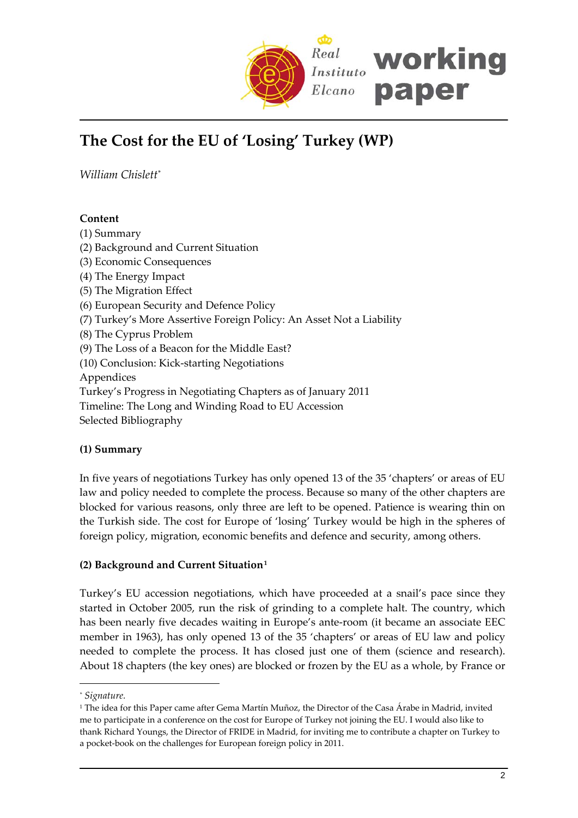

# **The Cost for the EU of 'Losing' Turkey (WP)**

*William Chislett*[\\*](#page-1-0)

# **Content**

- (1) Summary (2) Background and Current Situation
- (3) Economic Consequences
- (4) The Energy Impact
- (5) The Migration Effect
- (6) European Security and Defence Policy
- (7) Turkey's More Assertive Foreign Policy: An Asset Not a Liability
- (8) The Cyprus Problem
- (9) The Loss of a Beacon for the Middle East?
- (10) Conclusion: Kick‐starting Negotiations

Appendices

- Turkey's Progress in Negotiating Chapters as of January 2011
- Timeline: The Long and Winding Road to EU Accession

Selected Bibliography

# **(1) Summary**

In five years of negotiations Turkey has only opened 13 of the 35 'chapters' or areas of EU law and policy needed to complete the process. Because so many of the other chapters are blocked for various reasons, only three are left to be opened. Patience is wearing thin on the Turkish side. The cost for Europe of 'losing' Turkey would be high in the spheres of foreign policy, migration, economic benefits and defence and security, among others.

# **(2) Background and Current Situation[1](#page-1-1)**

Turkey's EU accession negotiations, which have proceeded at a snail's pace since they started in October 2005, run the risk of grinding to a complete halt. The country, which has been nearly five decades waiting in Europe's ante-room (it became an associate EEC member in 1963), has only opened 13 of the 35 'chapters' or areas of EU law and policy needed to complete the process. It has closed just one of them (science and research). About 18 chapters (the key ones) are blocked or frozen by the EU as a whole, by France or

<span id="page-1-0"></span>*<sup>\*</sup> Signature.*

<span id="page-1-1"></span><sup>1</sup> The idea for this Paper came after Gema Martín Muñoz, the Director of the Casa Árabe in Madrid, invited me to participate in a conference on the cost for Europe of Turkey not joining the EU. I would also like to thank Richard Youngs, the Director of FRIDE in Madrid, for inviting me to contribute a chapter on Turkey to a pocket‐book on the challenges for European foreign policy in 2011.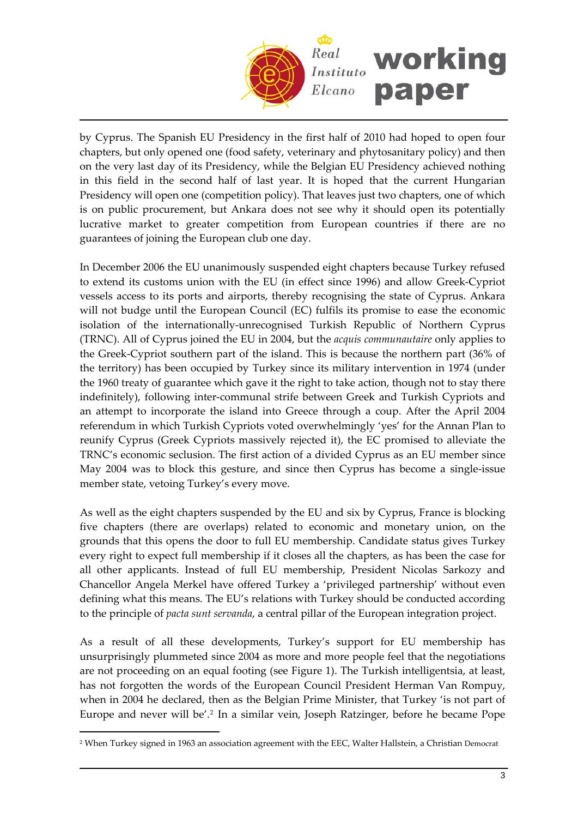

by Cyprus. The Spanish EU Presidency in the first half of 2010 had hoped to open four chapters, but only opened one (food safety, veterinary and phytosanitary policy) and then on the very last day of its Presidency, while the Belgian EU Presidency achieved nothing in this field in the second half of last year. It is hoped that the current Hungarian Presidency will open one (competition policy). That leaves just two chapters, one of which is on public procurement, but Ankara does not see why it should open its potentially lucrative market to greater competition from European countries if there are no guarantees of joining the European club one day.

In December 2006 the EU unanimously suspended eight chapters because Turkey refused to extend its customs union with the EU (in effect since 1996) and allow Greek‐Cypriot vessels access to its ports and airports, thereby recognising the state of Cyprus. Ankara will not budge until the European Council (EC) fulfils its promise to ease the economic isolation of the internationally‐unrecognised Turkish Republic of Northern Cyprus (TRNC). All of Cyprus joined the EU in 2004, but the *acquis communautaire* only applies to the Greek‐Cypriot southern part of the island. This is because the northern part (36% of the territory) has been occupied by Turkey since its military intervention in 1974 (under the 1960 treaty of guarantee which gave it the right to take action, though not to stay there indefinitely), following inter‐communal strife between Greek and Turkish Cypriots and an attempt to incorporate the island into Greece through a coup. After the April 2004 referendum in which Turkish Cypriots voted overwhelmingly 'yes' for the Annan Plan to reunify Cyprus (Greek Cypriots massively rejected it), the EC promised to alleviate the TRNC's economic seclusion. The first action of a divided Cyprus as an EU member since May 2004 was to block this gesture, and since then Cyprus has become a single‐issue member state, vetoing Turkey's every move.

As well as the eight chapters suspended by the EU and six by Cyprus, France is blocking five chapters (there are overlaps) related to economic and monetary union, on the grounds that this opens the door to full EU membership. Candidate status gives Turkey every right to expect full membership if it closes all the chapters, as has been the case for all other applicants. Instead of full EU membership, President Nicolas Sarkozy and Chancellor Angela Merkel have offered Turkey a 'privileged partnership' without even defining what this means. The EU's relations with Turkey should be conducted according to the principle of *pacta sunt servanda*, a central pillar of the European integration project.

As a result of all these developments, Turkey's support for EU membership has unsurprisingly plummeted since 2004 as more and more people feel that the negotiations are not proceeding on an equal footing (see Figure 1). The Turkish intelligentsia, at least, has not forgotten the words of the European Council President Herman Van Rompuy, when in 2004 he declared, then as the Belgian Prime Minister, that Turkey 'is not part of Europe and never will be'.[2](#page-2-0) In a similar vein, Joseph Ratzinger, before he became Pope

<span id="page-2-0"></span><sup>2</sup> When Turkey signed in 1963 an association agreement with the EEC, Walter Hallstein, a Christian Democrat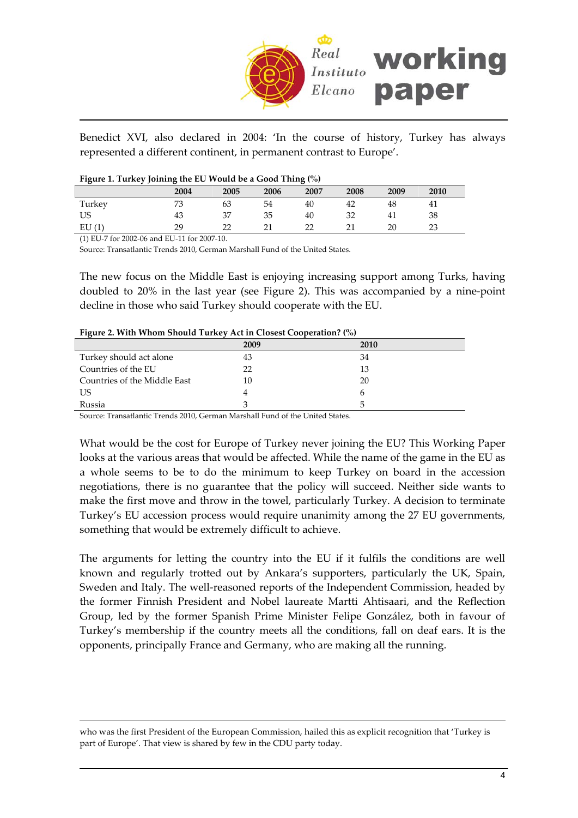

Benedict XVI, also declared in 2004: 'In the course of history, Turkey has always represented a different continent, in permanent contrast to Europe'.

|  |  | Figure 1. Turkey Joining the EU Would be a Good Thing (%) |
|--|--|-----------------------------------------------------------|
|  |  |                                                           |

| ີ      | . .  |      |      | . .  |        |      |          |  |
|--------|------|------|------|------|--------|------|----------|--|
|        | 2004 | 2005 | 2006 | 2007 | 2008   | 2009 | 2010     |  |
| Turkey | 73   | 63   | 54   | 40   | 42     | 48   | 41       |  |
| US     | 43   | 37   | 35   | 40   | 32     | 41   | 38       |  |
| EU(1)  | 29   | רר   | ີ    | רר   | $\sim$ | 20   | າາ<br>∠∪ |  |

(1) EU‐7 for 2002‐06 and EU‐11 for 2007‐10.

 $\overline{a}$ 

Source: Transatlantic Trends 2010, German Marshall Fund of the United States.

The new focus on the Middle East is enjoying increasing support among Turks, having doubled to 20% in the last year (see Figure 2). This was accompanied by a nine‐point decline in those who said Turkey should cooperate with the EU.

| Tigule 2. With Whom Should Turkey Act in Closest Cooperation: (70) |      |             |  |  |  |
|--------------------------------------------------------------------|------|-------------|--|--|--|
|                                                                    | 2009 | <b>2010</b> |  |  |  |
| Turkey should act alone                                            | 43   | 34          |  |  |  |
| Countries of the EU                                                | 22   | 13          |  |  |  |
| Countries of the Middle East                                       | 10   | 20          |  |  |  |
| US                                                                 |      |             |  |  |  |
| Russia                                                             |      |             |  |  |  |

**Figure 2. With Whom Should Turkey Act in Closest Cooperation? (%)**

Source: Transatlantic Trends 2010, German Marshall Fund of the United States.

What would be the cost for Europe of Turkey never joining the EU? This Working Paper looks at the various areas that would be affected. While the name of the game in the EU as a whole seems to be to do the minimum to keep Turkey on board in the accession negotiations, there is no guarantee that the policy will succeed. Neither side wants to make the first move and throw in the towel, particularly Turkey. A decision to terminate Turkey's EU accession process would require unanimity among the 27 EU governments, something that would be extremely difficult to achieve.

The arguments for letting the country into the EU if it fulfils the conditions are well known and regularly trotted out by Ankara's supporters, particularly the UK, Spain, Sweden and Italy. The well-reasoned reports of the Independent Commission, headed by the former Finnish President and Nobel laureate Martti Ahtisaari, and the Reflection Group, led by the former Spanish Prime Minister Felipe González, both in favour of Turkey's membership if the country meets all the conditions, fall on deaf ears. It is the opponents, principally France and Germany, who are making all the running.

who was the first President of the European Commission, hailed this as explicit recognition that 'Turkey is part of Europe'. That view is shared by few in the CDU party today.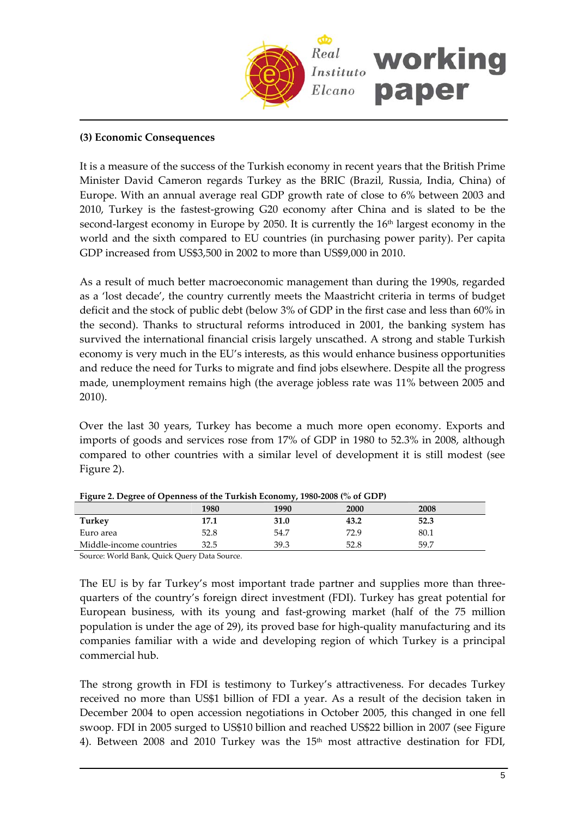

# **(3) Economic Consequences**

It is a measure of the success of the Turkish economy in recent years that the British Prime Minister David Cameron regards Turkey as the BRIC (Brazil, Russia, India, China) of Europe. With an annual average real GDP growth rate of close to 6% between 2003 and 2010, Turkey is the fastest‐growing G20 economy after China and is slated to be the second-largest economy in Europe by 2050. It is currently the 16<sup>th</sup> largest economy in the world and the sixth compared to EU countries (in purchasing power parity). Per capita GDP increased from US\$3,500 in 2002 to more than US\$9,000 in 2010.

As a result of much better macroeconomic management than during the 1990s, regarded as a 'lost decade', the country currently meets the Maastricht criteria in terms of budget deficit and the stock of public debt (below 3% of GDP in the first case and less than 60% in the second). Thanks to structural reforms introduced in 2001, the banking system has survived the international financial crisis largely unscathed. A strong and stable Turkish economy is very much in the EU's interests, as this would enhance business opportunities and reduce the need for Turks to migrate and find jobs elsewhere. Despite all the progress made, unemployment remains high (the average jobless rate was 11% between 2005 and 2010).

Over the last 30 years, Turkey has become a much more open economy. Exports and imports of goods and services rose from 17% of GDP in 1980 to 52.3% in 2008, although compared to other countries with a similar level of development it is still modest (see Figure 2).

| $\frac{1}{2}$ i.guit 2. Degree of Openhess of the Turkish Economy, 1700-2000 (70 of ODT) |      |      |      |             |  |  |
|------------------------------------------------------------------------------------------|------|------|------|-------------|--|--|
|                                                                                          | 1980 | 1990 | 2000 | <b>2008</b> |  |  |
| Turkey                                                                                   | 17.1 | 31.0 | 43.2 | 52.3        |  |  |
| Euro area                                                                                | 52.8 | 54.7 | 72.9 | 80.1        |  |  |
| Middle-income countries                                                                  | 32.5 | 39.3 | 52.8 | 59.7        |  |  |
|                                                                                          |      |      |      |             |  |  |

**Figure 2. Degree of Openness of the Turkish Economy, 1980‐2008 (% of GDP)**

Source: World Bank, Quick Query Data Source.

The EU is by far Turkey's most important trade partner and supplies more than threequarters of the country's foreign direct investment (FDI). Turkey has great potential for European business, with its young and fast‐growing market (half of the 75 million population is under the age of 29), its proved base for high-quality manufacturing and its companies familiar with a wide and developing region of which Turkey is a principal commercial hub.

The strong growth in FDI is testimony to Turkey's attractiveness. For decades Turkey received no more than US\$1 billion of FDI a year. As a result of the decision taken in December 2004 to open accession negotiations in October 2005, this changed in one fell swoop. FDI in 2005 surged to US\$10 billion and reached US\$22 billion in 2007 (see Figure 4). Between 2008 and 2010 Turkey was the 15<sup>th</sup> most attractive destination for FDI,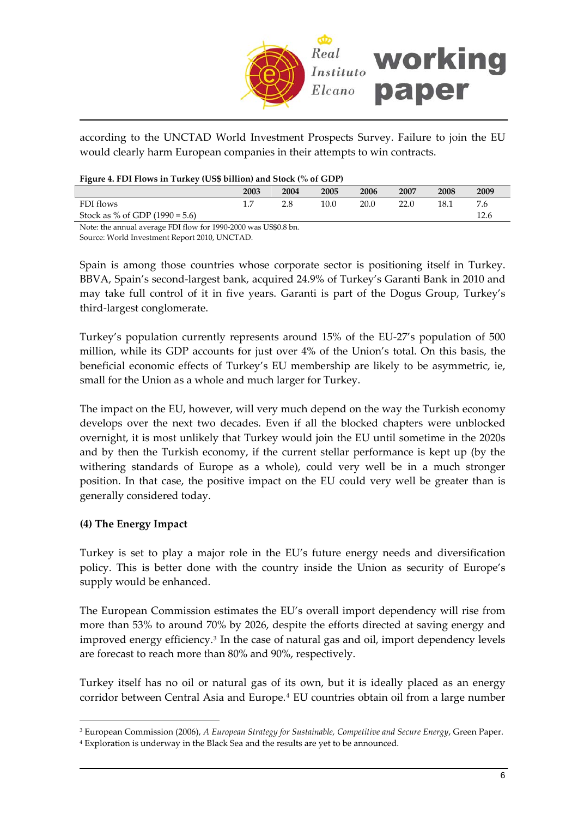

according to the UNCTAD World Investment Prospects Survey. Failure to join the EU would clearly harm European companies in their attempts to win contracts.

| Figure 4. FDI Flows in Turkey (US\$ billion) and Stock (% of GDP) |  |  |  |  |  |
|-------------------------------------------------------------------|--|--|--|--|--|
|                                                                   |  |  |  |  |  |

| $\sim$                           |      |                                                                  |      |      |      |      |      |
|----------------------------------|------|------------------------------------------------------------------|------|------|------|------|------|
|                                  | 2003 | 2004                                                             | 2005 | 2006 | 2007 | 2008 | 2009 |
| FDI flows                        |      |                                                                  | 10.0 | 20.0 | ንን በ | 18.1 | 7.6  |
| Stock as % of GDP $(1990 = 5.6)$ |      |                                                                  |      |      |      |      | 12.6 |
| $\frac{1}{2}$                    |      | $\mathbf{v}$ $\mathbf{v}$ $\mathbf{v}$ $\mathbf{v}$ $\mathbf{v}$ |      |      |      |      |      |

Note: the annual average FDI flow for 1990‐2000 was US\$0.8 bn.

Source: World Investment Report 2010, UNCTAD.

Spain is among those countries whose corporate sector is positioning itself in Turkey. BBVA, Spain's second‐largest bank, acquired 24.9% of Turkey's Garanti Bank in 2010 and may take full control of it in five years. Garanti is part of the Dogus Group, Turkey's third‐largest conglomerate.

Turkey's population currently represents around 15% of the EU‐27's population of 500 million, while its GDP accounts for just over 4% of the Union's total. On this basis, the beneficial economic effects of Turkey's EU membership are likely to be asymmetric, ie, small for the Union as a whole and much larger for Turkey.

The impact on the EU, however, will very much depend on the way the Turkish economy develops over the next two decades. Even if all the blocked chapters were unblocked overnight, it is most unlikely that Turkey would join the EU until sometime in the 2020s and by then the Turkish economy, if the current stellar performance is kept up (by the withering standards of Europe as a whole), could very well be in a much stronger position. In that case, the positive impact on the EU could very well be greater than is generally considered today.

# **(4) The Energy Impact**

 $\overline{a}$ 

Turkey is set to play a major role in the EU's future energy needs and diversification policy. This is better done with the country inside the Union as security of Europe's supply would be enhanced.

The European Commission estimates the EU's overall import dependency will rise from more than 53% to around 70% by 2026, despite the efforts directed at saving energy and improved energy efficiency.[3](#page-5-0) In the case of natural gas and oil, import dependency levels are forecast to reach more than 80% and 90%, respectively.

Turkey itself has no oil or natural gas of its own, but it is ideally placed as an energy corridor between Central Asia and Europe.[4](#page-5-1) EU countries obtain oil from a large number

<span id="page-5-0"></span><sup>3</sup> European Commission (2006), *A European Strategy for Sustainable, Competitive and Secure Energy*, Green Paper.

<span id="page-5-1"></span><sup>4</sup> Exploration is underway in the Black Sea and the results are yet to be announced.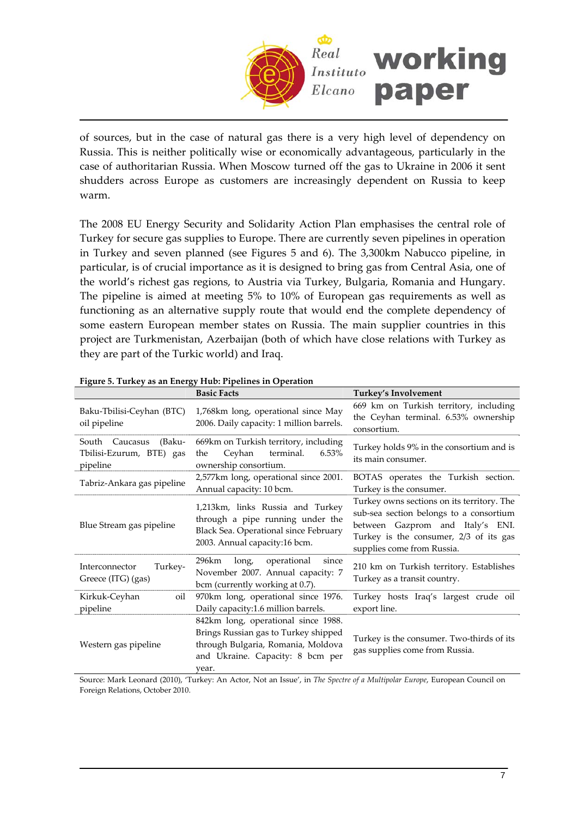

of sources, but in the case of natural gas there is a very high level of dependency on Russia. This is neither politically wise or economically advantageous, particularly in the case of authoritarian Russia. When Moscow turned off the gas to Ukraine in 2006 it sent shudders across Europe as customers are increasingly dependent on Russia to keep warm.

The 2008 EU Energy Security and Solidarity Action Plan emphasises the central role of Turkey for secure gas supplies to Europe. There are currently seven pipelines in operation in Turkey and seven planned (see Figures 5 and 6). The 3,300km Nabucco pipeline, in particular, is of crucial importance as it is designed to bring gas from Central Asia, one of the world's richest gas regions, to Austria via Turkey, Bulgaria, Romania and Hungary. The pipeline is aimed at meeting 5% to 10% of European gas requirements as well as functioning as an alternative supply route that would end the complete dependency of some eastern European member states on Russia. The main supplier countries in this project are Turkmenistan, Azerbaijan (both of which have close relations with Turkey as they are part of the Turkic world) and Iraq.

|                                                                  | rigare 9. Tancy as an encigy trav. I ipennes in Operation                                                                                                      |                                                                                                                                                                                                   |
|------------------------------------------------------------------|----------------------------------------------------------------------------------------------------------------------------------------------------------------|---------------------------------------------------------------------------------------------------------------------------------------------------------------------------------------------------|
|                                                                  | <b>Basic Facts</b>                                                                                                                                             | Turkey's Involvement                                                                                                                                                                              |
| Baku-Tbilisi-Ceyhan (BTC)<br>oil pipeline                        | 1,768km long, operational since May<br>2006. Daily capacity: 1 million barrels.                                                                                | 669 km on Turkish territory, including<br>the Ceyhan terminal. 6.53% ownership<br>consortium.                                                                                                     |
| South Caucasus<br>(Baku-<br>Tbilisi-Ezurum, BTE) gas<br>pipeline | 669km on Turkish territory, including<br>Ceyhan<br>terminal.<br>6.53%<br>the<br>ownership consortium.                                                          | Turkey holds 9% in the consortium and is<br>its main consumer.                                                                                                                                    |
| Tabriz-Ankara gas pipeline                                       | 2,577km long, operational since 2001.<br>Annual capacity: 10 bcm.                                                                                              | BOTAS operates the Turkish section.<br>Turkey is the consumer.                                                                                                                                    |
| Blue Stream gas pipeline                                         | 1,213km, links Russia and Turkey<br>through a pipe running under the<br>Black Sea. Operational since February<br>2003. Annual capacity:16 bcm.                 | Turkey owns sections on its territory. The<br>sub-sea section belongs to a consortium<br>between Gazprom and Italy's ENI.<br>Turkey is the consumer, 2/3 of its gas<br>supplies come from Russia. |
| Interconnector<br>Turkey-<br>Greece (ITG) (gas)                  | 296km<br>long,<br>operational<br>since<br>November 2007. Annual capacity: 7<br>bcm (currently working at 0.7).                                                 | 210 km on Turkish territory. Establishes<br>Turkey as a transit country.                                                                                                                          |
| Kirkuk-Ceyhan<br>oil<br>pipeline                                 | 970km long, operational since 1976.<br>Daily capacity:1.6 million barrels.                                                                                     | Turkey hosts Iraq's largest crude oil<br>export line.                                                                                                                                             |
| Western gas pipeline                                             | 842km long, operational since 1988.<br>Brings Russian gas to Turkey shipped<br>through Bulgaria, Romania, Moldova<br>and Ukraine. Capacity: 8 bcm per<br>vear. | Turkey is the consumer. Two-thirds of its<br>gas supplies come from Russia.                                                                                                                       |

**Figure 5. Turkey as an Energy Hub: Pipelines in Operation**

Source: Mark Leonard (2010), 'Turkey: An Actor, Not an Issue', in *The Spectre of a Multipolar Europe*, European Council on Foreign Relations, October 2010.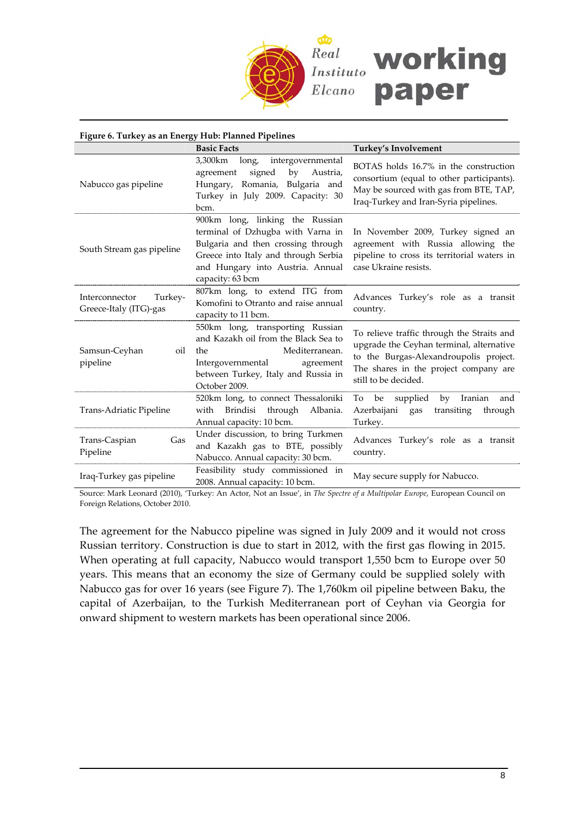

| Figure 6. Turkey as an Energy Hub: Planned Pipelines |                                                                                                                                                                                                            |                                                                                                                                                                                                   |  |  |  |  |
|------------------------------------------------------|------------------------------------------------------------------------------------------------------------------------------------------------------------------------------------------------------------|---------------------------------------------------------------------------------------------------------------------------------------------------------------------------------------------------|--|--|--|--|
|                                                      | <b>Basic Facts</b>                                                                                                                                                                                         | Turkey's Involvement                                                                                                                                                                              |  |  |  |  |
| Nabucco gas pipeline                                 | 3,300km<br>long,<br>intergovernmental<br>signed<br>by<br>Austria,<br>agreement<br>Hungary, Romania, Bulgaria and<br>Turkey in July 2009. Capacity: 30<br>bcm.                                              | BOTAS holds 16.7% in the construction<br>consortium (equal to other participants).<br>May be sourced with gas from BTE, TAP,<br>Iraq-Turkey and Iran-Syria pipelines.                             |  |  |  |  |
| South Stream gas pipeline                            | 900km long, linking the Russian<br>terminal of Dzhugba with Varna in<br>Bulgaria and then crossing through<br>Greece into Italy and through Serbia<br>and Hungary into Austria. Annual<br>capacity: 63 bcm | In November 2009, Turkey signed an<br>agreement with Russia allowing the<br>pipeline to cross its territorial waters in<br>case Ukraine resists.                                                  |  |  |  |  |
| Turkey-<br>Interconnector<br>Greece-Italy (ITG)-gas  | 807km long, to extend ITG from<br>Komofini to Otranto and raise annual<br>capacity to 11 bcm.                                                                                                              | Advances Turkey's role as a transit<br>country.                                                                                                                                                   |  |  |  |  |
| Samsun-Ceyhan<br>oil<br>pipeline                     | 550km long, transporting Russian<br>and Kazakh oil from the Black Sea to<br>Mediterranean.<br>the<br>Intergovernmental<br>agreement<br>between Turkey, Italy and Russia in<br>October 2009.                | To relieve traffic through the Straits and<br>upgrade the Ceyhan terminal, alternative<br>to the Burgas-Alexandroupolis project.<br>The shares in the project company are<br>still to be decided. |  |  |  |  |
| Trans-Adriatic Pipeline                              | 520km long, to connect Thessaloniki<br>Brindisi through Albania.<br>with<br>Annual capacity: 10 bcm.                                                                                                       | Iranian<br>To be<br>supplied<br>by<br>and<br>Azerbaijani<br>gas<br>transiting<br>through<br>Turkey.                                                                                               |  |  |  |  |
| Gas<br>Trans-Caspian<br>Pipeline                     | Under discussion, to bring Turkmen<br>and Kazakh gas to BTE, possibly<br>Nabucco. Annual capacity: 30 bcm.                                                                                                 | Advances Turkey's role as a transit<br>country.                                                                                                                                                   |  |  |  |  |
| Iraq-Turkey gas pipeline                             | Feasibility study commissioned in<br>2008. Annual capacity: 10 bcm.                                                                                                                                        | May secure supply for Nabucco.                                                                                                                                                                    |  |  |  |  |

Source: Mark Leonard (2010), 'Turkey: An Actor, Not an Issue', in *The Spectre of a Multipolar Europe*, European Council on Foreign Relations, October 2010.

The agreement for the Nabucco pipeline was signed in July 2009 and it would not cross Russian territory. Construction is due to start in 2012, with the first gas flowing in 2015. When operating at full capacity, Nabucco would transport 1,550 bcm to Europe over 50 years. This means that an economy the size of Germany could be supplied solely with Nabucco gas for over 16 years (see Figure 7). The 1,760km oil pipeline between Baku, the capital of Azerbaijan, to the Turkish Mediterranean port of Ceyhan via Georgia for onward shipment to western markets has been operational since 2006.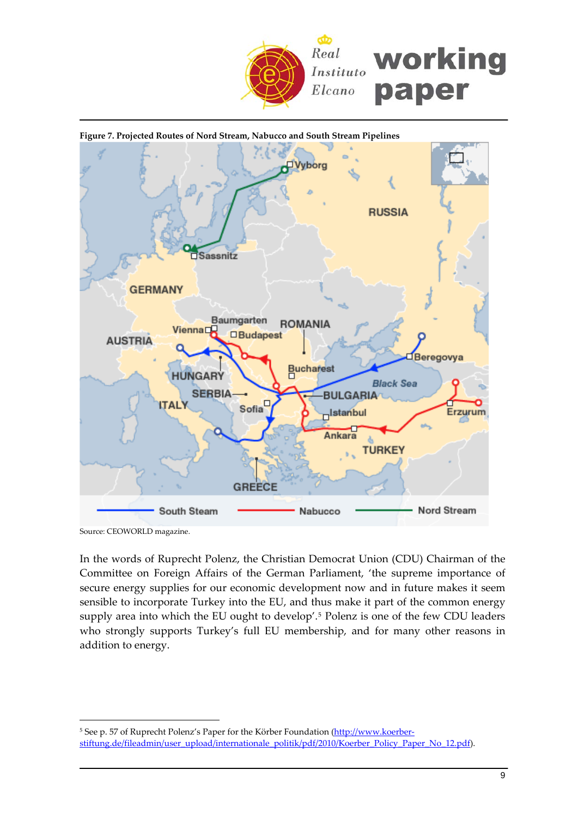



Source: CEOWORLD magazine.

 $\overline{a}$ 

In the words of Ruprecht Polenz, the Christian Democrat Union (CDU) Chairman of the Committee on Foreign Affairs of the German Parliament, 'the supreme importance of secure energy supplies for our economic development now and in future makes it seem sensible to incorporate Turkey into the EU, and thus make it part of the common energy supply area into which the EU ought to develop'.[5](#page-8-0) Polenz is one of the few CDU leaders who strongly supports Turkey's full EU membership, and for many other reasons in addition to energy.

<span id="page-8-0"></span><sup>&</sup>lt;sup>5</sup> See p. 57 of Ruprecht Polenz's Paper for the Körber Foundation [\(http://www.koerber](http://www.koerber-stiftung.de/fileadmin/user_upload/internationale_politik/pdf/2010/Koerber_Policy_Paper_No_12.pdf)[stiftung.de/fileadmin/user\\_upload/internationale\\_politik/pdf/2010/Koerber\\_Policy\\_Paper\\_No\\_12.pdf\)](http://www.koerber-stiftung.de/fileadmin/user_upload/internationale_politik/pdf/2010/Koerber_Policy_Paper_No_12.pdf).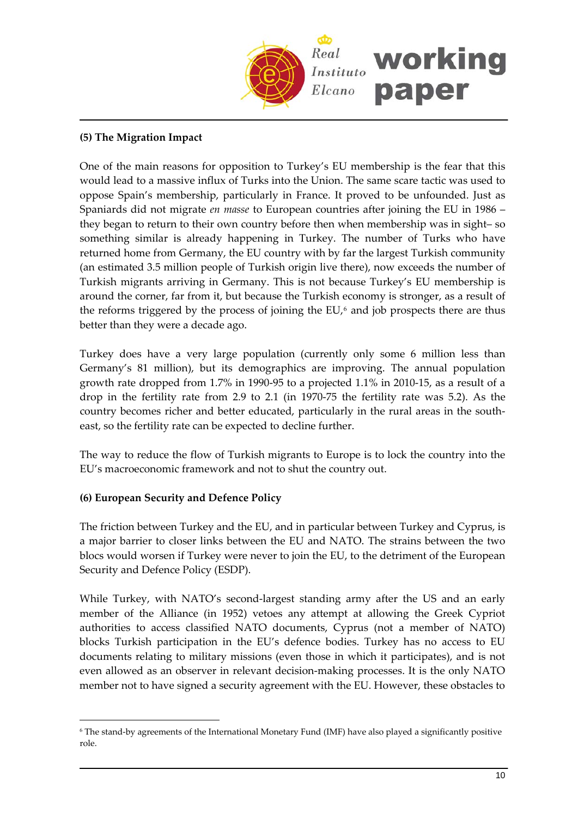

# **(5) The Migration Impact**

One of the main reasons for opposition to Turkey's EU membership is the fear that this would lead to a massive influx of Turks into the Union. The same scare tactic was used to oppose Spain's membership, particularly in France. It proved to be unfounded. Just as Spaniards did not migrate *en masse* to European countries after joining the EU in 1986 – they began to return to their own country before then when membership was in sight– so something similar is already happening in Turkey. The number of Turks who have returned home from Germany, the EU country with by far the largest Turkish community (an estimated 3.5 million people of Turkish origin live there), now exceeds the number of Turkish migrants arriving in Germany. This is not because Turkey's EU membership is around the corner, far from it, but because the Turkish economy is stronger, as a result of the reforms triggered by the process of joining the  $EU<sub>0</sub>$  and job prospects there are thus better than they were a decade ago.

Turkey does have a very large population (currently only some 6 million less than Germany's 81 million), but its demographics are improving. The annual population growth rate dropped from 1.7% in 1990‐95 to a projected 1.1% in 2010‐15, as a result of a drop in the fertility rate from 2.9 to 2.1 (in 1970‐75 the fertility rate was 5.2). As the country becomes richer and better educated, particularly in the rural areas in the south‐ east, so the fertility rate can be expected to decline further.

The way to reduce the flow of Turkish migrants to Europe is to lock the country into the EU's macroeconomic framework and not to shut the country out.

# **(6) European Security and Defence Policy**

 $\overline{a}$ 

The friction between Turkey and the EU, and in particular between Turkey and Cyprus, is a major barrier to closer links between the EU and NATO. The strains between the two blocs would worsen if Turkey were never to join the EU, to the detriment of the European Security and Defence Policy (ESDP).

While Turkey, with NATO's second-largest standing army after the US and an early member of the Alliance (in 1952) vetoes any attempt at allowing the Greek Cypriot authorities to access classified NATO documents, Cyprus (not a member of NATO) blocks Turkish participation in the EU's defence bodies. Turkey has no access to EU documents relating to military missions (even those in which it participates), and is not even allowed as an observer in relevant decision-making processes. It is the only NATO member not to have signed a security agreement with the EU. However, these obstacles to

<span id="page-9-0"></span><sup>6</sup> The stand‐by agreements of the International Monetary Fund (IMF) have also played a significantly positive role.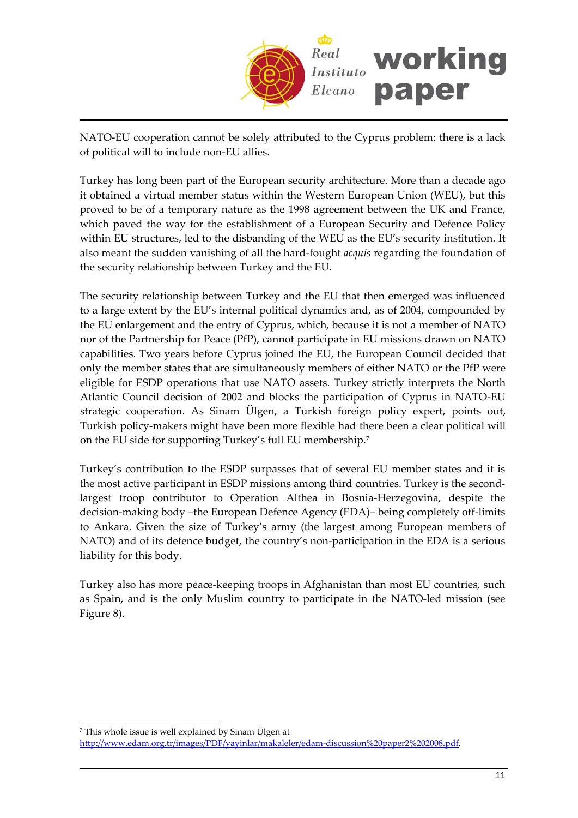

NATO-EU cooperation cannot be solely attributed to the Cyprus problem: there is a lack of political will to include non‐EU allies.

Turkey has long been part of the European security architecture. More than a decade ago it obtained a virtual member status within the Western European Union (WEU), but this proved to be of a temporary nature as the 1998 agreement between the UK and France, which paved the way for the establishment of a European Security and Defence Policy within EU structures, led to the disbanding of the WEU as the EU's security institution. It also meant the sudden vanishing of all the hard‐fought *acquis* regarding the foundation of the security relationship between Turkey and the EU.

The security relationship between Turkey and the EU that then emerged was influenced to a large extent by the EU's internal political dynamics and, as of 2004, compounded by the EU enlargement and the entry of Cyprus, which, because it is not a member of NATO nor of the Partnership for Peace (PfP), cannot participate in EU missions drawn on NATO capabilities. Two years before Cyprus joined the EU, the European Council decided that only the member states that are simultaneously members of either NATO or the PfP were eligible for ESDP operations that use NATO assets. Turkey strictly interprets the North Atlantic Council decision of 2002 and blocks the participation of Cyprus in NATO‐EU strategic cooperation. As Sinam Ülgen, a Turkish foreign policy expert, points out, Turkish policy‐makers might have been more flexible had there been a clear political will on the EU side for supporting Turkey's full EU membership[.7](#page-10-0)

Turkey's contribution to the ESDP surpasses that of several EU member states and it is the most active participant in ESDP missions among third countries. Turkey is the secondlargest troop contributor to Operation Althea in Bosnia‐Herzegovina, despite the decision‐making body –the European Defence Agency (EDA)– being completely off‐limits to Ankara. Given the size of Turkey's army (the largest among European members of NATO) and of its defence budget, the country's non-participation in the EDA is a serious liability for this body.

Turkey also has more peace‐keeping troops in Afghanistan than most EU countries, such as Spain, and is the only Muslim country to participate in the NATO‐led mission (see Figure 8).

<span id="page-10-0"></span><sup>7</sup> This whole issue is well explained by Sinam Ülgen at

[http://www.edam.org.tr/images/PDF/yayinlar/makaleler/edam](http://www.edam.org.tr/images/PDF/yayinlar/makaleler/edam-discussion%20paper2%202008.pdf)‐discussion%20paper2%202008.pdf.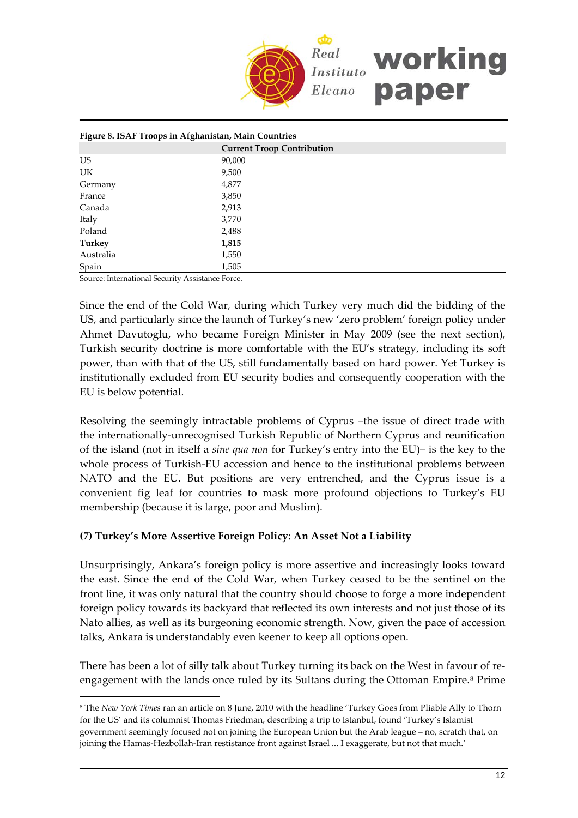

| Figure 8. ISAF Troops in Afghanistan, Main Countries |                                   |  |  |
|------------------------------------------------------|-----------------------------------|--|--|
|                                                      | <b>Current Troop Contribution</b> |  |  |
| <b>US</b>                                            | 90,000                            |  |  |
| <b>UK</b>                                            | 9,500                             |  |  |
| Germany                                              | 4,877                             |  |  |
| France                                               | 3,850                             |  |  |
| Canada                                               | 2,913                             |  |  |
| Italy                                                | 3,770                             |  |  |
| Poland                                               | 2,488                             |  |  |
| <b>Turkey</b>                                        | 1,815                             |  |  |
| Australia                                            | 1,550                             |  |  |
| Spain                                                | 1,505                             |  |  |

Source: International Security Assistance Force.

 $\overline{a}$ 

Since the end of the Cold War, during which Turkey very much did the bidding of the US, and particularly since the launch of Turkey's new 'zero problem' foreign policy under Ahmet Davutoglu, who became Foreign Minister in May 2009 (see the next section), Turkish security doctrine is more comfortable with the EU's strategy, including its soft power, than with that of the US, still fundamentally based on hard power. Yet Turkey is institutionally excluded from EU security bodies and consequently cooperation with the EU is below potential.

Resolving the seemingly intractable problems of Cyprus –the issue of direct trade with the internationally‐unrecognised Turkish Republic of Northern Cyprus and reunification of the island (not in itself a *sine qua non* for Turkey's entry into the EU)– is the key to the whole process of Turkish-EU accession and hence to the institutional problems between NATO and the EU. But positions are very entrenched, and the Cyprus issue is a convenient fig leaf for countries to mask more profound objections to Turkey's EU membership (because it is large, poor and Muslim).

# **(7) Turkey's More Assertive Foreign Policy: An Asset Not a Liability**

Unsurprisingly, Ankara's foreign policy is more assertive and increasingly looks toward the east. Since the end of the Cold War, when Turkey ceased to be the sentinel on the front line, it was only natural that the country should choose to forge a more independent foreign policy towards its backyard that reflected its own interests and not just those of its Nato allies, as well as its burgeoning economic strength. Now, given the pace of accession talks, Ankara is understandably even keener to keep all options open.

There has been a lot of silly talk about Turkey turning its back on the West in favour of re-engagement with the lands once ruled by its Sultans during the Ottoman Empire.<sup>[8](#page-11-0)</sup> Prime

<span id="page-11-0"></span><sup>8</sup> The *New York Times* ran an article on 8 June, 2010 with the headline 'Turkey Goes from Pliable Ally to Thorn for the US' and its columnist Thomas Friedman, describing a trip to Istanbul, found 'Turkey's Islamist government seemingly focused not on joining the European Union but the Arab league – no, scratch that, on joining the Hamas‐Hezbollah‐Iran restistance front against Israel ... I exaggerate, but not that much.'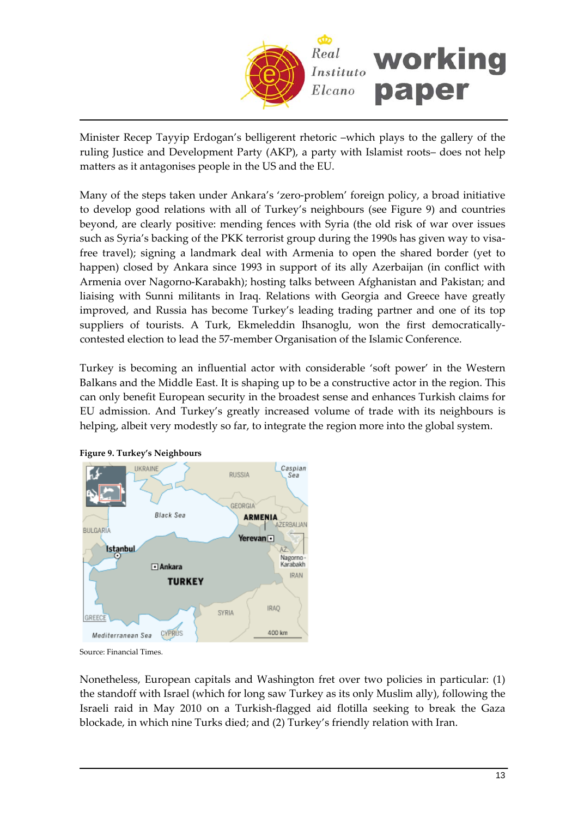

Minister Recep Tayyip Erdogan's belligerent rhetoric –which plays to the gallery of the ruling Justice and Development Party (AKP), a party with Islamist roots– does not help matters as it antagonises people in the US and the EU.

Many of the steps taken under Ankara's 'zero‐problem' foreign policy, a broad initiative to develop good relations with all of Turkey's neighbours (see Figure 9) and countries beyond, are clearly positive: mending fences with Syria (the old risk of war over issues such as Syria's backing of the PKK terrorist group during the 1990s has given way to visafree travel); signing a landmark deal with Armenia to open the shared border (yet to happen) closed by Ankara since 1993 in support of its ally Azerbaijan (in conflict with Armenia over Nagorno‐Karabakh); hosting talks between Afghanistan and Pakistan; and liaising with Sunni militants in Iraq. Relations with Georgia and Greece have greatly improved, and Russia has become Turkey's leading trading partner and one of its top suppliers of tourists. A Turk, Ekmeleddin Ihsanoglu, won the first democraticallycontested election to lead the 57‐member Organisation of the Islamic Conference.

Turkey is becoming an influential actor with considerable 'soft power' in the Western Balkans and the Middle East. It is shaping up to be a constructive actor in the region. This can only benefit European security in the broadest sense and enhances Turkish claims for EU admission. And Turkey's greatly increased volume of trade with its neighbours is helping, albeit very modestly so far, to integrate the region more into the global system.





Source: Financial Times.

Nonetheless, European capitals and Washington fret over two policies in particular: (1) the standoff with Israel (which for long saw Turkey as its only Muslim ally), following the Israeli raid in May 2010 on a Turkish‐flagged aid flotilla seeking to break the Gaza blockade, in which nine Turks died; and (2) Turkey's friendly relation with Iran.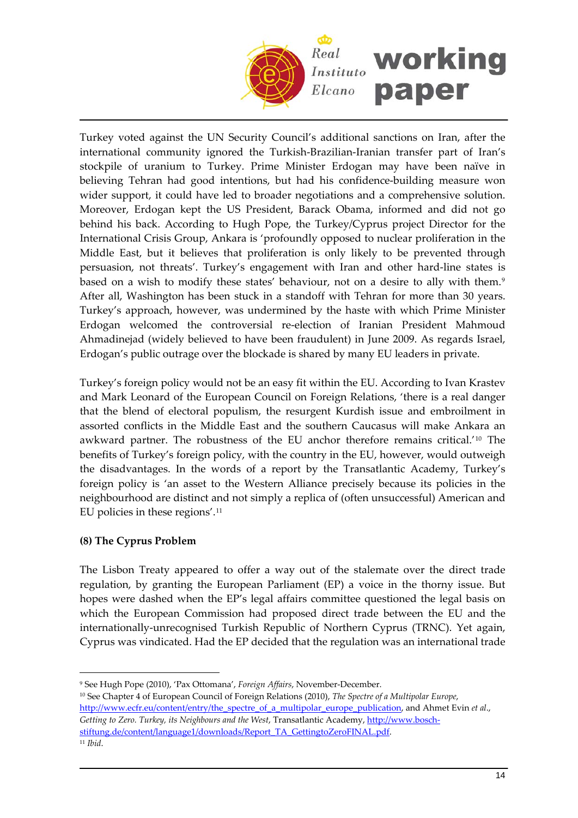

Turkey voted against the UN Security Council's additional sanctions on Iran, after the international community ignored the Turkish‐Brazilian‐Iranian transfer part of Iran's stockpile of uranium to Turkey. Prime Minister Erdogan may have been naïve in believing Tehran had good intentions, but had his confidence-building measure won wider support, it could have led to broader negotiations and a comprehensive solution. Moreover, Erdogan kept the US President, Barack Obama, informed and did not go behind his back. According to Hugh Pope, the Turkey/Cyprus project Director for the International Crisis Group, Ankara is 'profoundly opposed to nuclear proliferation in the Middle East, but it believes that proliferation is only likely to be prevented through persuasion, not threats'. Turkey's engagement with Iran and other hard‐line states is based on a wish to modify these states' behaviour, not on a desire to ally with them.<sup>[9](#page-13-0)</sup> After all, Washington has been stuck in a standoff with Tehran for more than 30 years. Turkey's approach, however, was undermined by the haste with which Prime Minister Erdogan welcomed the controversial re‐election of Iranian President Mahmoud Ahmadinejad (widely believed to have been fraudulent) in June 2009. As regards Israel, Erdogan's public outrage over the blockade is shared by many EU leaders in private.

Turkey's foreign policy would not be an easy fit within the EU. According to Ivan Krastev and Mark Leonard of the European Council on Foreign Relations, 'there is a real danger that the blend of electoral populism, the resurgent Kurdish issue and embroilment in assorted conflicts in the Middle East and the southern Caucasus will make Ankara an awkward partner. The robustness of the EU anchor therefore remains critical.'[10](#page-13-1) The benefits of Turkey's foreign policy, with the country in the EU, however, would outweigh the disadvantages. In the words of a report by the Transatlantic Academy, Turkey's foreign policy is 'an asset to the Western Alliance precisely because its policies in the neighbourhood are distinct and not simply a replica of (often unsuccessful) American and EU policies in these regions'.[11](#page-13-2)

# **(8) The Cyprus Problem**

The Lisbon Treaty appeared to offer a way out of the stalemate over the direct trade regulation, by granting the European Parliament (EP) a voice in the thorny issue. But hopes were dashed when the EP's legal affairs committee questioned the legal basis on which the European Commission had proposed direct trade between the EU and the internationally-unrecognised Turkish Republic of Northern Cyprus (TRNC). Yet again, Cyprus was vindicated. Had the EP decided that the regulation was an international trade

<span id="page-13-0"></span><sup>9</sup> See Hugh Pope (2010), 'Pax Ottomana', *Foreign Affairs*, November‐December.

<span id="page-13-1"></span><sup>10</sup> See Chapter 4 of European Council of Foreign Relations (2010), *The Spectre of a Multipolar Europe*, [http://www.ecfr.eu/content/entry/the\\_spectre\\_of\\_a\\_multipolar\\_europe\\_publication,](http://www.ecfr.eu/content/entry/the_spectre_of_a_multipolar_europe_publication) and Ahmet Evin *et al*., *Getting to Zero. Turkey, its Neighbours and the West*, Transatlantic Academy, [http://www.bosch](http://www.bosch-stiftung.de/content/language1/downloads/Report_TA_GettingtoZeroFINAL.pdf)‐ [stiftung.de/content/language1/downloads/Report\\_TA\\_GettingtoZeroFINAL.pdf](http://www.bosch-stiftung.de/content/language1/downloads/Report_TA_GettingtoZeroFINAL.pdf). <sup>11</sup> *Ibid*.

<span id="page-13-2"></span>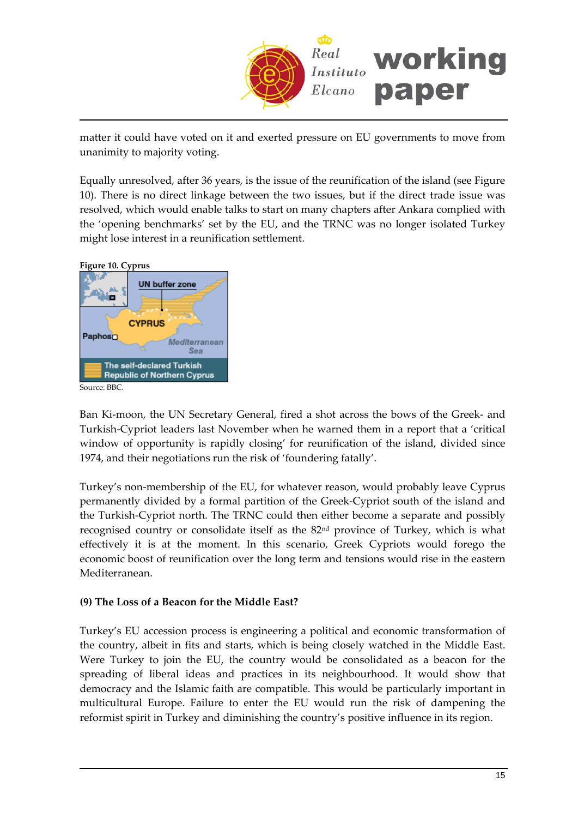

matter it could have voted on it and exerted pressure on EU governments to move from unanimity to majority voting.

Equally unresolved, after 36 years, is the issue of the reunification of the island (see Figure 10). There is no direct linkage between the two issues, but if the direct trade issue was resolved, which would enable talks to start on many chapters after Ankara complied with the 'opening benchmarks' set by the EU, and the TRNC was no longer isolated Turkey might lose interest in a reunification settlement.



Ban Ki-moon, the UN Secretary General, fired a shot across the bows of the Greek- and Turkish‐Cypriot leaders last November when he warned them in a report that a 'critical window of opportunity is rapidly closing' for reunification of the island, divided since 1974, and their negotiations run the risk of 'foundering fatally'.

Turkey's non-membership of the EU, for whatever reason, would probably leave Cyprus permanently divided by a formal partition of the Greek‐Cypriot south of the island and the Turkish‐Cypriot north. The TRNC could then either become a separate and possibly recognised country or consolidate itself as the 82nd province of Turkey, which is what effectively it is at the moment. In this scenario, Greek Cypriots would forego the economic boost of reunification over the long term and tensions would rise in the eastern Mediterranean.

# **(9) The Loss of a Beacon for the Middle East?**

Turkey's EU accession process is engineering a political and economic transformation of the country, albeit in fits and starts, which is being closely watched in the Middle East. Were Turkey to join the EU, the country would be consolidated as a beacon for the spreading of liberal ideas and practices in its neighbourhood. It would show that democracy and the Islamic faith are compatible. This would be particularly important in multicultural Europe. Failure to enter the EU would run the risk of dampening the reformist spirit in Turkey and diminishing the country's positive influence in its region.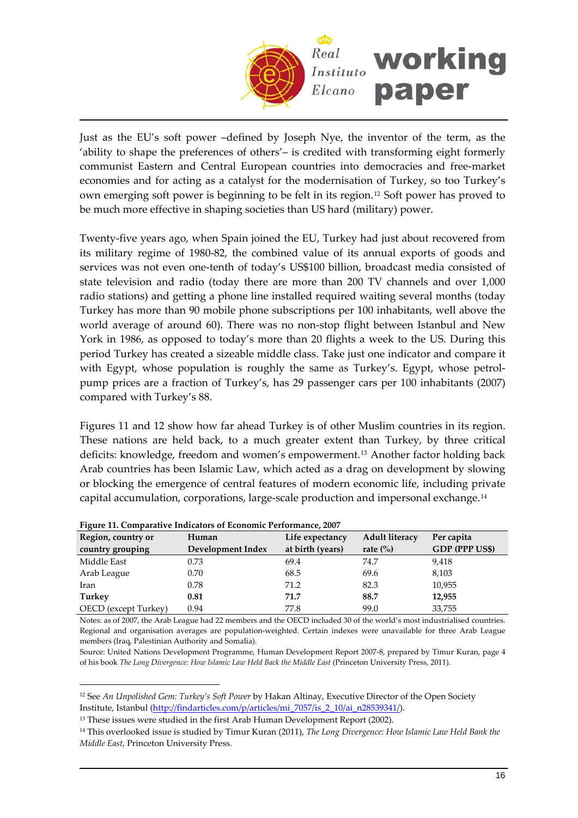

Just as the EU's soft power –defined by Joseph Nye, the inventor of the term, as the 'ability to shape the preferences of others'– is credited with transforming eight formerly communist Eastern and Central European countries into democracies and free‐market economies and for acting as a catalyst for the modernisation of Turkey, so too Turkey's own emerging soft power is beginning to be felt in its region.[12](#page-15-0) Soft power has proved to be much more effective in shaping societies than US hard (military) power.

Twenty‐five years ago, when Spain joined the EU, Turkey had just about recovered from its military regime of 1980‐82, the combined value of its annual exports of goods and services was not even one-tenth of today's US\$100 billion, broadcast media consisted of state television and radio (today there are more than 200 TV channels and over 1,000 radio stations) and getting a phone line installed required waiting several months (today Turkey has more than 90 mobile phone subscriptions per 100 inhabitants, well above the world average of around 60). There was no non‐stop flight between Istanbul and New York in 1986, as opposed to today's more than 20 flights a week to the US. During this period Turkey has created a sizeable middle class. Take just one indicator and compare it with Egypt, whose population is roughly the same as Turkey's. Egypt, whose petrolpump prices are a fraction of Turkey's, has 29 passenger cars per 100 inhabitants (2007) compared with Turkey's 88.

Figures 11 and 12 show how far ahead Turkey is of other Muslim countries in its region. These nations are held back, to a much greater extent than Turkey, by three critical deficits: knowledge, freedom and women's empowerment.[13](#page-15-1) Another factor holding back Arab countries has been Islamic Law, which acted as a drag on development by slowing or blocking the emergence of central features of modern economic life, including private capital accumulation, corporations, large‐scale production and impersonal exchange.[14](#page-15-2)

| Region, country or          | Human             | Life expectancy  | <b>Adult literacy</b>           | Per capita            |
|-----------------------------|-------------------|------------------|---------------------------------|-----------------------|
| country grouping            | Development Index | at birth (years) | rate $\left(\frac{0}{0}\right)$ | <b>GDP (PPP US\$)</b> |
| Middle East                 | 0.73              | 69.4             | 74.7                            | 9,418                 |
| Arab League                 | 0.70              | 68.5             | 69.6                            | 8,103                 |
| Iran                        | 0.78              | 71.2             | 82.3                            | 10,955                |
| Turkey                      | 0.81              | 71.7             | 88.7                            | 12,955                |
| <b>OECD</b> (except Turkey) | 0.94              | 77.8             | 99.0                            | 33,755                |

**Figure 11. Comparative Indicators of Economic Performance, 2007**

 $\overline{a}$ 

Notes: as of 2007, the Arab League had 22 members and the OECD included 30 of the world's most industrialised countries. Regional and organisation averages are population‐weighted. Certain indexes were unavailable for three Arab League members (Iraq, Palestinian Authority and Somalia).

Source: United Nations Development Programme, Human Development Report 2007‐8, prepared by Timur Kuran, page 4 of his book *The Long Divergence: How Islamic Law Held Back the Middle East* (Princeton University Press, 2011).

<span id="page-15-0"></span><sup>12</sup> See *An Unpolished Gem: Turkey's Soft Power* by Hakan Altinay, Executive Director of the Open Society Institute, Istanbul ([http://findarticles.com/p/articles/mi\\_7057/is\\_2\\_10/ai\\_n28539341/\)](http://findarticles.com/p/articles/mi_7057/is_2_10/ai_n28539341/).

<span id="page-15-1"></span><sup>&</sup>lt;sup>13</sup> These issues were studied in the first Arab Human Development Report (2002).

<span id="page-15-2"></span><sup>14</sup> This overlooked issue is studied by Timur Kuran (2011), *The Long Divergence: How Islamic Law Held Bank the Middle East*, Princeton University Press.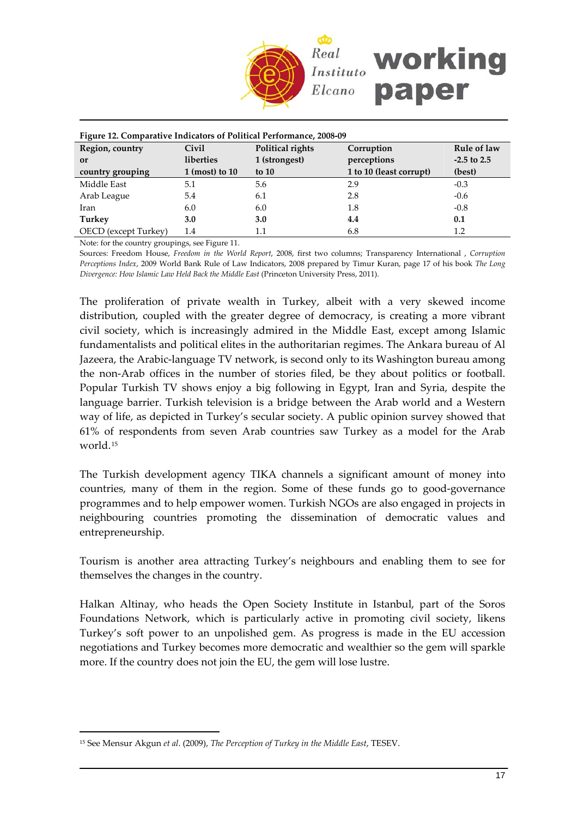

| Figure 12. Comparative Indicators of Political Performance, 2008-09 |                           |                  |                         |               |  |  |
|---------------------------------------------------------------------|---------------------------|------------------|-------------------------|---------------|--|--|
| Region, country                                                     | Civil                     | Political rights | Corruption              | Rule of law   |  |  |
| or                                                                  | liberties                 | 1 (strongest)    | perceptions             | $-2.5$ to 2.5 |  |  |
| country grouping                                                    | $1 \text{ (most) to } 10$ | to $10$          | 1 to 10 (least corrupt) | (best)        |  |  |
| Middle East                                                         | 5.1                       | 5.6              | 2.9                     | $-0.3$        |  |  |
| Arab League                                                         | 5.4                       | 6.1              | 2.8                     | $-0.6$        |  |  |
| Iran                                                                | 6.0                       | 6.0              | 1.8                     | $-0.8$        |  |  |
| Turkey                                                              | 3.0                       | 3.0              | 4.4                     | 0.1           |  |  |
| OECD (except Turkey)                                                | 1.4                       | 1.1              | 6.8                     | 1.2           |  |  |

Note: for the country groupings, see Figure 11.

Sources: Freedom House, *Freedom in the World Report*, 2008, first two columns; Transparency International , *Corruption Perceptions Index*, 2009 World Bank Rule of Law Indicators, 2008 prepared by Timur Kuran, page 17 of his book *The Long Divergence: How Islamic Law Held Back the Middle East* (Princeton University Press, 2011).

The proliferation of private wealth in Turkey, albeit with a very skewed income distribution, coupled with the greater degree of democracy, is creating a more vibrant civil society, which is increasingly admired in the Middle East, except among Islamic fundamentalists and political elites in the authoritarian regimes. The Ankara bureau of Al Jazeera, the Arabic‐language TV network, is second only to its Washington bureau among the non‐Arab offices in the number of stories filed, be they about politics or football. Popular Turkish TV shows enjoy a big following in Egypt, Iran and Syria, despite the language barrier. Turkish television is a bridge between the Arab world and a Western way of life, as depicted in Turkey's secular society. A public opinion survey showed that 61% of respondents from seven Arab countries saw Turkey as a model for the Arab world.[15](#page-16-0)

The Turkish development agency TIKA channels a significant amount of money into countries, many of them in the region. Some of these funds go to good‐governance programmes and to help empower women. Turkish NGOs are also engaged in projects in neighbouring countries promoting the dissemination of democratic values and entrepreneurship.

Tourism is another area attracting Turkey's neighbours and enabling them to see for themselves the changes in the country.

Halkan Altinay, who heads the Open Society Institute in Istanbul, part of the Soros Foundations Network, which is particularly active in promoting civil society, likens Turkey's soft power to an unpolished gem. As progress is made in the EU accession negotiations and Turkey becomes more democratic and wealthier so the gem will sparkle more. If the country does not join the EU, the gem will lose lustre.

<span id="page-16-0"></span><sup>15</sup> See Mensur Akgun *et al*. (2009), *The Perception of Turkey in the Middle East*, TESEV.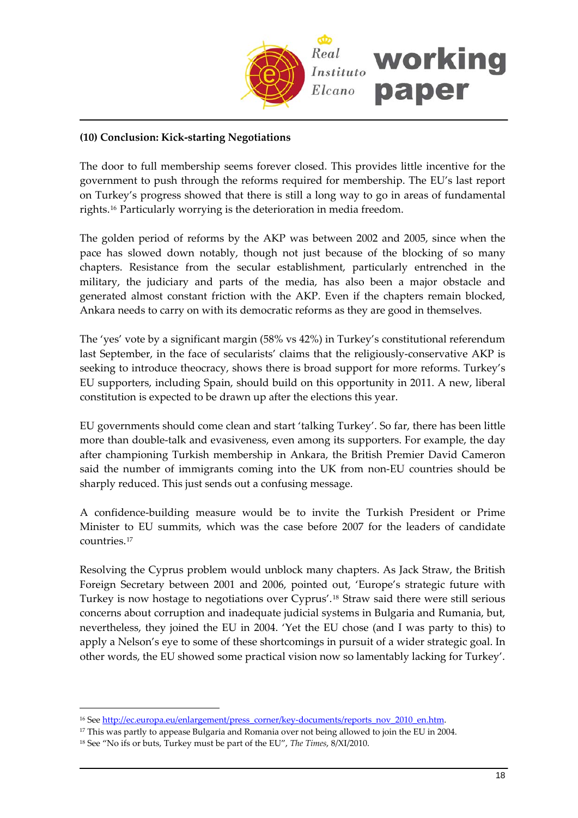

# **(10) Conclusion: Kick‐starting Negotiations**

The door to full membership seems forever closed. This provides little incentive for the government to push through the reforms required for membership. The EU's last report on Turkey's progress showed that there is still a long way to go in areas of fundamental rights.[16](#page-17-0) Particularly worrying is the deterioration in media freedom.

The golden period of reforms by the AKP was between 2002 and 2005, since when the pace has slowed down notably, though not just because of the blocking of so many chapters. Resistance from the secular establishment, particularly entrenched in the military, the judiciary and parts of the media, has also been a major obstacle and generated almost constant friction with the AKP. Even if the chapters remain blocked, Ankara needs to carry on with its democratic reforms as they are good in themselves.

The 'yes' vote by a significant margin (58% vs 42%) in Turkey's constitutional referendum last September, in the face of secularists' claims that the religiously‐conservative AKP is seeking to introduce theocracy, shows there is broad support for more reforms. Turkey's EU supporters, including Spain, should build on this opportunity in 2011. A new, liberal constitution is expected to be drawn up after the elections this year.

EU governments should come clean and start 'talking Turkey'. So far, there has been little more than double-talk and evasiveness, even among its supporters. For example, the day after championing Turkish membership in Ankara, the British Premier David Cameron said the number of immigrants coming into the UK from non-EU countries should be sharply reduced. This just sends out a confusing message.

A confidence‐building measure would be to invite the Turkish President or Prime Minister to EU summits, which was the case before 2007 for the leaders of candidate countries.[17](#page-17-1)

Resolving the Cyprus problem would unblock many chapters. As Jack Straw, the British Foreign Secretary between 2001 and 2006, pointed out, 'Europe's strategic future with Turkey is now hostage to negotiations over Cyprus'.[18](#page-17-2) Straw said there were still serious concerns about corruption and inadequate judicial systems in Bulgaria and Rumania, but, nevertheless, they joined the EU in 2004. 'Yet the EU chose (and I was party to this) to apply a Nelson's eye to some of these shortcomings in pursuit of a wider strategic goal. In other words, the EU showed some practical vision now so lamentably lacking for Turkey'.

<span id="page-17-0"></span><sup>&</sup>lt;sup>16</sup> See [http://ec.europa.eu/enlargement/press\\_corner/key](http://ec.europa.eu/enlargement/press_corner/key-documents/reports_nov_2010_en.htm)-documents/reports\_nov\_2010\_en.htm.

<span id="page-17-1"></span><sup>&</sup>lt;sup>17</sup> This was partly to appease Bulgaria and Romania over not being allowed to join the EU in 2004.

<span id="page-17-2"></span><sup>18</sup> See "No ifs or buts, Turkey must be part of the EU", *The Times*, 8/XI/2010.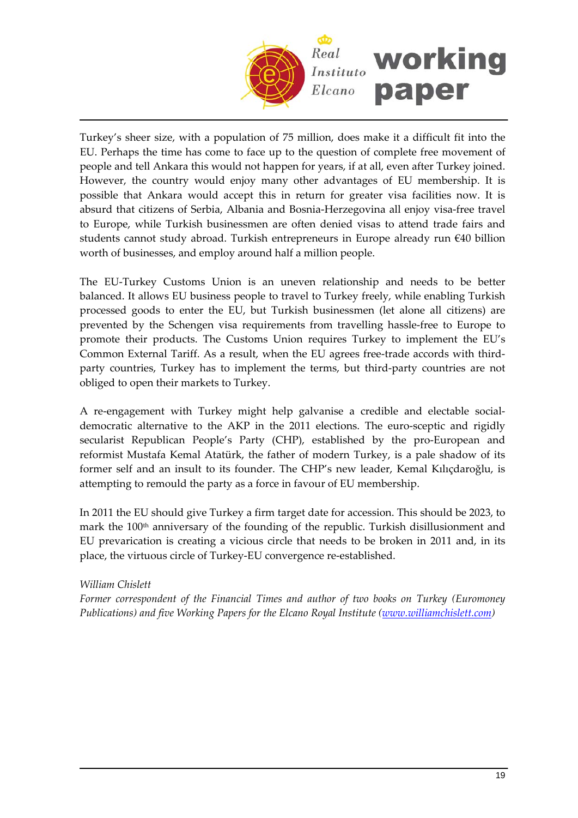

Turkey's sheer size, with a population of 75 million, does make it a difficult fit into the EU. Perhaps the time has come to face up to the question of complete free movement of people and tell Ankara this would not happen for years, if at all, even after Turkey joined. However, the country would enjoy many other advantages of EU membership. It is possible that Ankara would accept this in return for greater visa facilities now. It is absurd that citizens of Serbia, Albania and Bosnia‐Herzegovina all enjoy visa‐free travel to Europe, while Turkish businessmen are often denied visas to attend trade fairs and students cannot study abroad. Turkish entrepreneurs in Europe already run €40 billion worth of businesses, and employ around half a million people.

The EU-Turkey Customs Union is an uneven relationship and needs to be better balanced. It allows EU business people to travel to Turkey freely, while enabling Turkish processed goods to enter the EU, but Turkish businessmen (let alone all citizens) are prevented by the Schengen visa requirements from travelling hassle‐free to Europe to promote their products. The Customs Union requires Turkey to implement the EU's Common External Tariff. As a result, when the EU agrees free‐trade accords with third‐ party countries, Turkey has to implement the terms, but third‐party countries are not obliged to open their markets to Turkey.

A re‐engagement with Turkey might help galvanise a credible and electable social‐ democratic alternative to the AKP in the 2011 elections. The euro‐sceptic and rigidly secularist Republican People's Party (CHP), established by the pro-European and reformist Mustafa Kemal Atatürk, the father of modern Turkey, is a pale shadow of its former self and an insult to its founder. The CHP's new leader, Kemal Kılıçdaroğlu, is attempting to remould the party as a force in favour of EU membership.

In 2011 the EU should give Turkey a firm target date for accession. This should be 2023, to mark the 100<sup>th</sup> anniversary of the founding of the republic. Turkish disillusionment and EU prevarication is creating a vicious circle that needs to be broken in 2011 and, in its place, the virtuous circle of Turkey‐EU convergence re‐established.

# *William Chislett*

*Former correspondent of the Financial Times and author of two books on Turkey (Euromoney Publications) and five Working Papers for the Elcano Royal Institute ([www.williamchislett.com\)](http://www.williamchislett.com/)*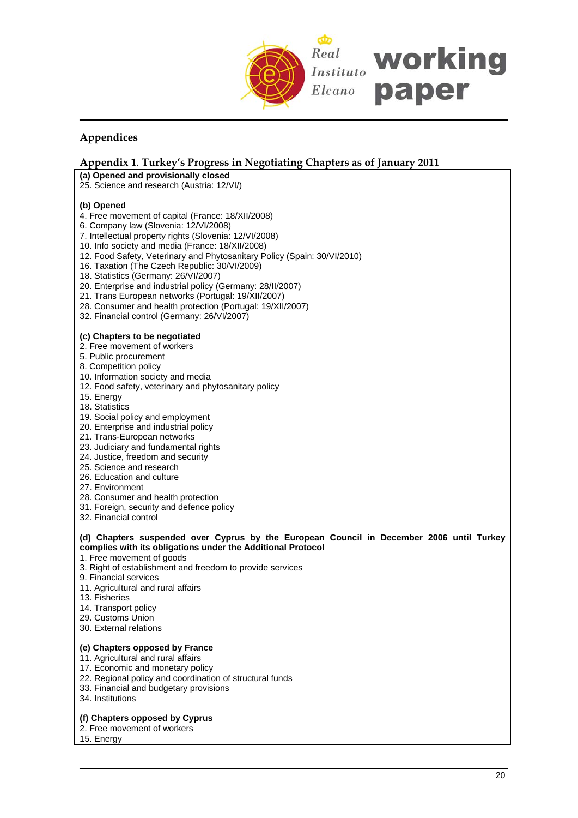

# **Appendices**

# **Appendix 1**. **Turkey's Progress in Negotiating Chapters as of January 2011**

- **(a) Opened and provisionally closed**
- 25. Science and research (Austria: 12/VI/)

## **(b) Opened**

- 4. Free movement of capital (France: 18/XII/2008)
- 6. Company law (Slovenia: 12/VI/2008)
- 7. Intellectual property rights (Slovenia: 12/VI/2008)
- 10. Info society and media (France: 18/XII/2008)
- 12. Food Safety, Veterinary and Phytosanitary Policy (Spain: 30/VI/2010)
- 16. Taxation (The Czech Republic: 30/VI/2009)
- 18. Statistics (Germany: 26/VI/2007)
- 20. Enterprise and industrial policy (Germany: 28/II/2007)
- 21. Trans European networks (Portugal: 19/XII/2007)
- 28. Consumer and health protection (Portugal: 19/XII/2007)
- 32. Financial control (Germany: 26/VI/2007)

## **(c) Chapters to be negotiated**

- 2. Free movement of workers
- 5. Public procurement
- 8. Competition policy
- 10. Information society and media
- 12. Food safety, veterinary and phytosanitary policy
- 15. Energy
- 18. Statistics
- 19. Social policy and employment
- 20. Enterprise and industrial policy
- 21. Trans-European networks
- 23. Judiciary and fundamental rights
- 24. Justice, freedom and security
- 25. Science and research
- 26. Education and culture
- 27. Environment
- 28. Consumer and health protection
- 31. Foreign, security and defence policy
- 32. Financial control

## **(d) Chapters suspended over Cyprus by the European Council in December 2006 until Turkey complies with its obligations under the Additional Protocol**

- 1. Free movement of goods
- 3. Right of establishment and freedom to provide services
- 9. Financial services
- 11. Agricultural and rural affairs
- 13. Fisheries
- 14. Transport policy
- 29. Customs Union
- 30. External relations

# **(e) Chapters opposed by France**

- 11. Agricultural and rural affairs
- 17. Economic and monetary policy
- 22. Regional policy and coordination of structural funds
- 33. Financial and budgetary provisions
- 34. Institutions

# **(f) Chapters opposed by Cyprus**

- 2. Free movement of workers
- 15. Energy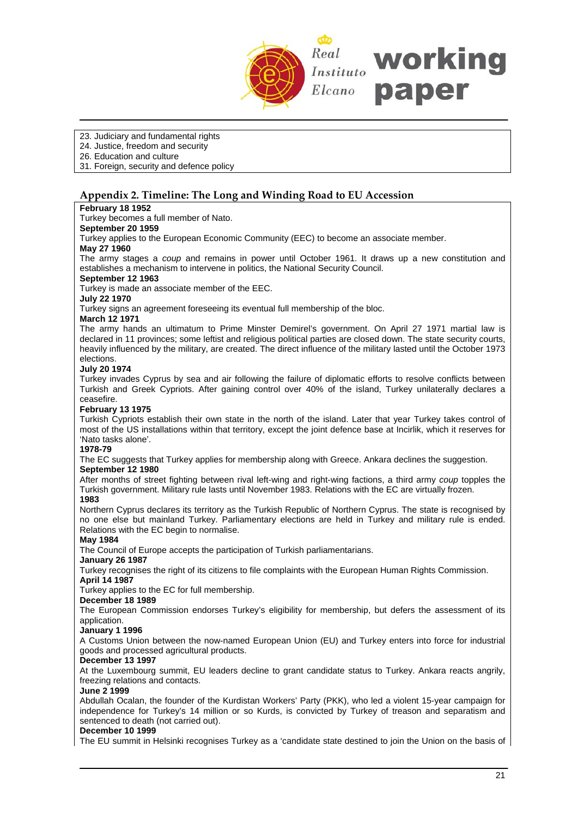

## 23. Judiciary and fundamental rights

24. Justice, freedom and security

26. Education and culture

31. Foreign, security and defence policy

# **Appendix 2. Timeline: The Long and Winding Road to EU Accession**

## **February 18 1952**

Turkey becomes a full member of Nato.

# **September 20 1959**

Turkey applies to the European Economic Community (EEC) to become an associate member.

#### **May 27 1960**

The army stages a *coup* and remains in power until October 1961. It draws up a new constitution and establishes a mechanism to intervene in politics, the National Security Council.

## **September 12 1963**

Turkey is made an associate member of the EEC.

**July 22 1970**

Turkey signs an agreement foreseeing its eventual full membership of the bloc.

#### **March 12 1971**

The army hands an ultimatum to Prime Minster Demirel's government. On April 27 1971 martial law is declared in 11 provinces; some leftist and religious political parties are closed down. The state security courts, heavily influenced by the military, are created. The direct influence of the military lasted until the October 1973 elections.

#### **July 20 1974**

Turkey invades Cyprus by sea and air following the failure of diplomatic efforts to resolve conflicts between Turkish and Greek Cypriots. After gaining control over 40% of the island, Turkey unilaterally declares a ceasefire.

## **February 13 1975**

Turkish Cypriots establish their own state in the north of the island. Later that year Turkey takes control of most of the US installations within that territory, except the joint defence base at Incirlik, which it reserves for 'Nato tasks alone'.

#### **1978-79**

The EC suggests that Turkey applies for membership along with Greece. Ankara declines the suggestion.

# **September 12 1980**

After months of street fighting between rival left-wing and right-wing factions, a third army *coup* topples the Turkish government. Military rule lasts until November 1983. Relations with the EC are virtually frozen. **1983**

Northern Cyprus declares its territory as the Turkish Republic of Northern Cyprus. The state is recognised by no one else but mainland Turkey. Parliamentary elections are held in Turkey and military rule is ended. Relations with the EC begin to normalise.

#### **May 1984**

The Council of Europe accepts the participation of Turkish parliamentarians.

## **January 26 1987**

Turkey recognises the right of its citizens to file complaints with the European Human Rights Commission. **April 14 1987**

Turkey applies to the EC for full membership.

# **December 18 1989**

The European Commission endorses Turkey's eligibility for membership, but defers the assessment of its application.

## **January 1 1996**

A Customs Union between the now-named European Union (EU) and Turkey enters into force for industrial goods and processed agricultural products.

# **December 13 1997**

At the Luxembourg summit, EU leaders decline to grant candidate status to Turkey. Ankara reacts angrily, freezing relations and contacts.

#### **June 2 1999**

Abdullah Ocalan, the founder of the Kurdistan Workers' Party (PKK), who led a violent 15-year campaign for independence for Turkey's 14 million or so Kurds, is convicted by Turkey of treason and separatism and sentenced to death (not carried out).

## **December 10 1999**

The EU summit in Helsinki recognises Turkey as a 'candidate state destined to join the Union on the basis of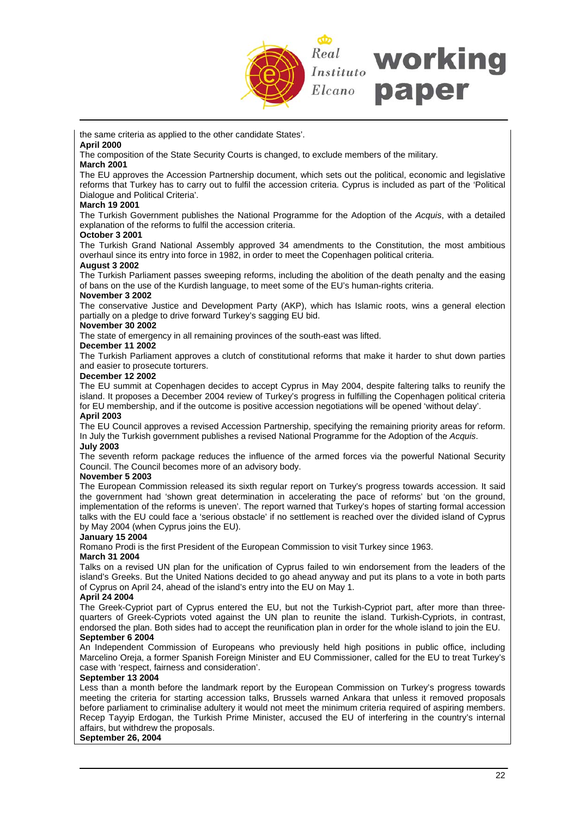

the same criteria as applied to the other candidate States'.

#### **April 2000**

The composition of the State Security Courts is changed, to exclude members of the military.

# **March 2001**

The EU approves the Accession Partnership document, which sets out the political, economic and legislative reforms that Turkey has to carry out to fulfil the accession criteria. Cyprus is included as part of the 'Political Dialogue and Political Criteria'.

## **March 19 2001**

The Turkish Government publishes the National Programme for the Adoption of the *Acquis*, with a detailed explanation of the reforms to fulfil the accession criteria.

#### **October 3 2001**

The Turkish Grand National Assembly approved 34 amendments to the Constitution, the most ambitious overhaul since its entry into force in 1982, in order to meet the Copenhagen political criteria.

#### **August 3 2002**

The Turkish Parliament passes sweeping reforms, including the abolition of the death penalty and the easing of bans on the use of the Kurdish language, to meet some of the EU's human-rights criteria.

#### **November 3 2002**

The conservative Justice and Development Party (AKP), which has Islamic roots, wins a general election partially on a pledge to drive forward Turkey's sagging EU bid.

#### **November 30 2002**

The state of emergency in all remaining provinces of the south-east was lifted.

#### **December 11 2002**

The Turkish Parliament approves a clutch of constitutional reforms that make it harder to shut down parties and easier to prosecute torturers.

#### **December 12 2002**

The EU summit at Copenhagen decides to accept Cyprus in May 2004, despite faltering talks to reunify the island. It proposes a December 2004 review of Turkey's progress in fulfilling the Copenhagen political criteria for EU membership, and if the outcome is positive accession negotiations will be opened 'without delay'. **April 2003**

# The EU Council approves a revised Accession Partnership, specifying the remaining priority areas for reform. In July the Turkish government publishes a revised National Programme for the Adoption of the *Acquis*.

#### **July 2003**

The seventh reform package reduces the influence of the armed forces via the powerful National Security Council. The Council becomes more of an advisory body.

#### **November 5 2003**

The European Commission released its sixth regular report on Turkey's progress towards accession. It said the government had 'shown great determination in accelerating the pace of reforms' but 'on the ground, implementation of the reforms is uneven'. The report warned that Turkey's hopes of starting formal accession talks with the EU could face a 'serious obstacle' if no settlement is reached over the divided island of Cyprus by May 2004 (when Cyprus joins the EU).

#### **January 15 2004**

Romano Prodi is the first President of the European Commission to visit Turkey since 1963.

# **March 31 2004**

Talks on a revised UN plan for the unification of Cyprus failed to win endorsement from the leaders of the island's Greeks. But the United Nations decided to go ahead anyway and put its plans to a vote in both parts of Cyprus on April 24, ahead of the island's entry into the EU on May 1.

#### **April 24 2004**

The Greek-Cypriot part of Cyprus entered the EU, but not the Turkish-Cypriot part, after more than threequarters of Greek-Cypriots voted against the UN plan to reunite the island. Turkish-Cypriots, in contrast, endorsed the plan. Both sides had to accept the reunification plan in order for the whole island to join the EU. **September 6 2004** 

An Independent Commission of Europeans who previously held high positions in public office, including Marcelino Oreja, a former Spanish Foreign Minister and EU Commissioner, called for the EU to treat Turkey's case with 'respect, fairness and consideration'.

#### **September 13 2004**

Less than a month before the landmark report by the European Commission on Turkey's progress towards meeting the criteria for starting accession talks, Brussels warned Ankara that unless it removed proposals before parliament to criminalise adultery it would not meet the minimum criteria required of aspiring members. Recep Tayyip Erdogan, the Turkish Prime Minister, accused the EU of interfering in the country's internal affairs, but withdrew the proposals.

## **September 26, 2004**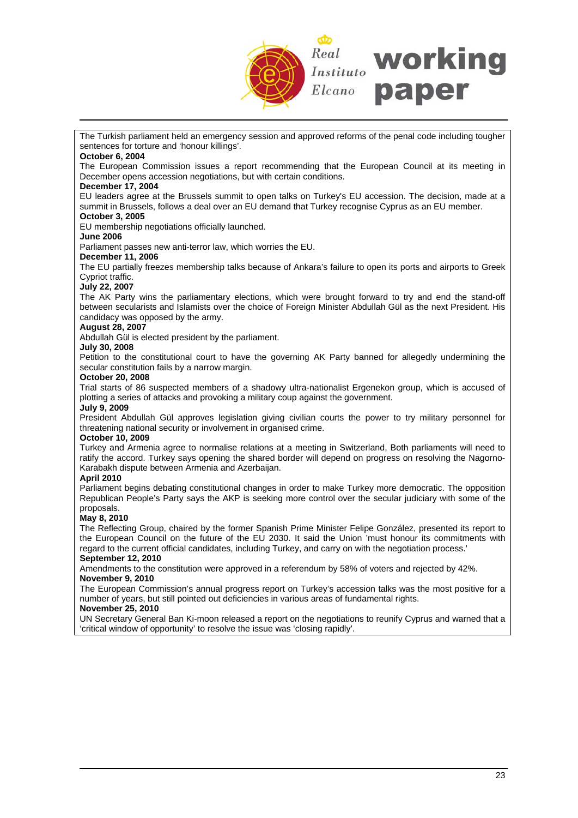

The Turkish parliament held an emergency session and approved reforms of the penal code including tougher sentences for torture and 'honour killings'.

## **October 6, 2004**

The European Commission issues a report recommending that the European Council at its meeting in December opens accession negotiations, but with certain conditions.

## **December 17, 2004**

EU leaders agree at the Brussels summit to open talks on Turkey's EU accession. The decision, made at a summit in Brussels, follows a deal over an EU demand that Turkey recognise Cyprus as an EU member. **October 3, 2005** 

# EU membership negotiations officially launched.

**June 2006** 

Parliament passes new anti-terror law, which worries the EU.

#### **December 11, 2006**

The EU partially freezes membership talks because of Ankara's failure to open its ports and airports to Greek Cypriot traffic.

#### **July 22, 2007**

The AK Party wins the parliamentary elections, which were brought forward to try and end the stand-off between secularists and Islamists over the choice of Foreign Minister Abdullah Gül as the next President. His candidacy was opposed by the army.

#### **August 28, 2007**

Abdullah Gül is elected president by the parliament.

### **July 30, 2008**

Petition to the constitutional court to have the governing AK Party banned for allegedly undermining the secular constitution fails by a narrow margin.

## **October 20, 2008**

Trial starts of 86 suspected members of a shadowy ultra-nationalist Ergenekon group, which is accused of plotting a series of attacks and provoking a military coup against the government.

# **July 9, 2009**

President Abdullah Gül approves legislation giving civilian courts the power to try military personnel for threatening national security or involvement in organised crime.

#### **October 10, 2009**

Turkey and Armenia agree to normalise relations at a meeting in Switzerland, Both parliaments will need to ratify the accord. Turkey says opening the shared border will depend on progress on resolving the Nagorno-Karabakh dispute between Armenia and Azerbaijan.

#### **April 2010**

Parliament begins debating constitutional changes in order to make Turkey more democratic. The opposition Republican People's Party says the AKP is seeking more control over the secular judiciary with some of the proposals.

#### **May 8, 2010**

The Reflecting Group, chaired by the former Spanish Prime Minister Felipe González, presented its report to the European Council on the future of the EU 2030. It said the Union 'must honour its commitments with regard to the current official candidates, including Turkey, and carry on with the negotiation process.'

# **September 12, 2010**

Amendments to the constitution were approved in a referendum by 58% of voters and rejected by 42%. **November 9, 2010** 

The European Commission's annual progress report on Turkey's accession talks was the most positive for a number of years, but still pointed out deficiencies in various areas of fundamental rights.

## **November 25, 2010**

UN Secretary General Ban Ki-moon released a report on the negotiations to reunify Cyprus and warned that a 'critical window of opportunity' to resolve the issue was 'closing rapidly'.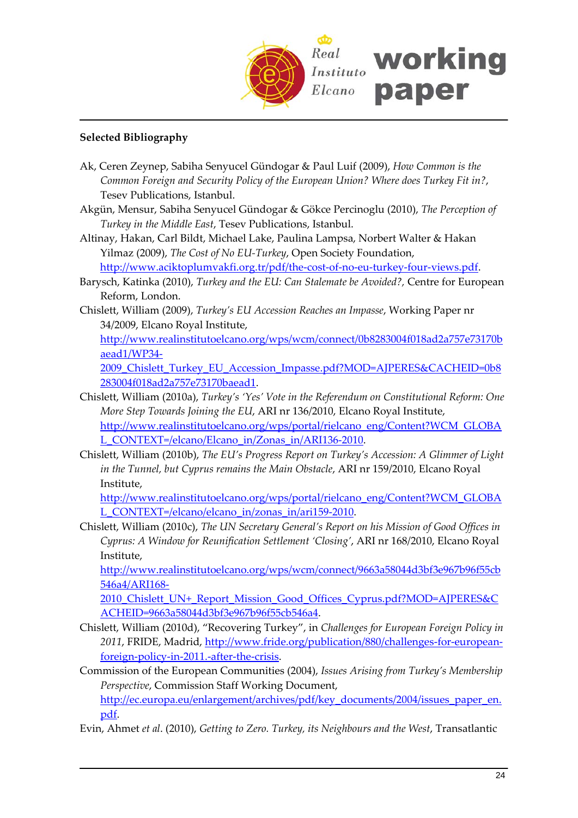

# **Selected Bibliography**

- Ak, Ceren Zeynep, Sabiha Senyucel Gündogar & Paul Luif (2009), *How Common is the Common Foreign and Security Policy of the European Union? Where does Turkey Fit in?*, Tesev Publications, Istanbul.
- Akgün, Mensur, Sabiha Senyucel Gündogar & Gökce Percinoglu (2010), *The Perception of Turkey in the Middle East*, Tesev Publications, Istanbul.
- Altinay, Hakan, Carl Bildt, Michael Lake, Paulina Lampsa, Norbert Walter & Hakan Yilmaz (2009), *The Cost of No EU‐Turkey*, Open Society Foundation, [http://www.aciktoplumvakfi.org.tr/pdf/the](http://www.aciktoplumvakfi.org.tr/pdf/the-cost-of-no-eu-turkey-four-views.pdf)‐cost‐of‐no‐eu‐turkey‐four‐views.pdf.
- Barysch, Katinka (2010), *Turkey and the EU: Can Stalemate be Avoided?,* Centre for European Reform, London.
- Chislett, William (2009), *Turkey's EU Accession Reaches an Impasse*, Working Paper nr 34/2009, Elcano Royal Institute,

[http://www.realinstitutoelcano.org/wps/wcm/connect/0b8283004f018ad2a757e73170b](http://www.realinstitutoelcano.org/wps/wcm/connect/0b8283004f018ad2a757e73170baead1/WP34-2009_Chislett_Turkey_EU_Accession_Impasse.pdf?MOD=AJPERES&CACHEID=0b8283004f018ad2a757e73170baead1) [aead1/WP34](http://www.realinstitutoelcano.org/wps/wcm/connect/0b8283004f018ad2a757e73170baead1/WP34-2009_Chislett_Turkey_EU_Accession_Impasse.pdf?MOD=AJPERES&CACHEID=0b8283004f018ad2a757e73170baead1)‐

2009 Chislett Turkey EU Accession Impasse.pdf?MOD=AJPERES&CACHEID=0b8 [283004f018ad2a757e73170baead1.](http://www.realinstitutoelcano.org/wps/wcm/connect/0b8283004f018ad2a757e73170baead1/WP34-2009_Chislett_Turkey_EU_Accession_Impasse.pdf?MOD=AJPERES&CACHEID=0b8283004f018ad2a757e73170baead1)

- Chislett, William (2010a), *Turkey's 'Yes' Vote in the Referendum on Constitutional Reform: One More Step Towards Joining the EU*, ARI nr 136/2010, Elcano Royal Institute, [http://www.realinstitutoelcano.org/wps/portal/rielcano\\_eng/Content?WCM\\_GLOBA](http://www.realinstitutoelcano.org/wps/portal/rielcano_eng/Content?WCM_GLOBAL_CONTEXT=/elcano/Elcano_in/Zonas_in/ARI136-2010) [L\\_CONTEXT=/elcano/Elcano\\_in/Zonas\\_in/ARI136](http://www.realinstitutoelcano.org/wps/portal/rielcano_eng/Content?WCM_GLOBAL_CONTEXT=/elcano/Elcano_in/Zonas_in/ARI136-2010)-2010.
- Chislett, William (2010b), *The EU's Progress Report on Turkey's Accession: A Glimmer of Light in the Tunnel, but Cyprus remains the Main Obstacle*, ARI nr 159/2010, Elcano Royal Institute,

[http://www.realinstitutoelcano.org/wps/portal/rielcano\\_eng/Content?WCM\\_GLOBA](http://www.realinstitutoelcano.org/wps/portal/rielcano_eng/Content?WCM_GLOBAL_CONTEXT=/elcano/elcano_in/zonas_in/ari159-2010) [L\\_CONTEXT=/elcano/elcano\\_in/zonas\\_in/ari159](http://www.realinstitutoelcano.org/wps/portal/rielcano_eng/Content?WCM_GLOBAL_CONTEXT=/elcano/elcano_in/zonas_in/ari159-2010)-2010.

Chislett, William (2010c), *The UN Secretary General's Report on his Mission of Good Offices in Cyprus: A Window for Reunification Settlement 'Closing'*, ARI nr 168/2010, Elcano Royal Institute,

[http://www.realinstitutoelcano.org/wps/wcm/connect/9663a58044d3bf3e967b96f55cb](http://www.realinstitutoelcano.org/wps/wcm/connect/9663a58044d3bf3e967b96f55cb546a4/ARI168-2010_Chislett_UN+_Report_Mission_Good_Offices_Cyprus.pdf?MOD=AJPERES&CACHEID=9663a58044d3bf3e967b96f55cb546a4) [546a4/ARI168](http://www.realinstitutoelcano.org/wps/wcm/connect/9663a58044d3bf3e967b96f55cb546a4/ARI168-2010_Chislett_UN+_Report_Mission_Good_Offices_Cyprus.pdf?MOD=AJPERES&CACHEID=9663a58044d3bf3e967b96f55cb546a4)‐

[2010\\_Chislett\\_UN+\\_Report\\_Mission\\_Good\\_Offices\\_Cyprus.pdf?MOD=AJPERES&C](http://www.realinstitutoelcano.org/wps/wcm/connect/9663a58044d3bf3e967b96f55cb546a4/ARI168-2010_Chislett_UN+_Report_Mission_Good_Offices_Cyprus.pdf?MOD=AJPERES&CACHEID=9663a58044d3bf3e967b96f55cb546a4) [ACHEID=9663a58044d3bf3e967b96f55cb546a4.](http://www.realinstitutoelcano.org/wps/wcm/connect/9663a58044d3bf3e967b96f55cb546a4/ARI168-2010_Chislett_UN+_Report_Mission_Good_Offices_Cyprus.pdf?MOD=AJPERES&CACHEID=9663a58044d3bf3e967b96f55cb546a4)

- Chislett, William (2010d), "Recovering Turkey", in *Challenges for European Foreign Policy in* 2011, FRIDE, Madrid, [http://www.fride.org/publication/880/challenges](http://www.fride.org/publication/880/challenges-for-european-foreign-policy-in-2011.-after-the-crisis)-for-european[foreign](http://www.fride.org/publication/880/challenges-for-european-foreign-policy-in-2011.-after-the-crisis)‐policy‐in‐2011.‐after‐the‐crisis.
- Commission of the European Communities (2004), *Issues Arising from Turkey's Membership Perspective*, Commission Staff Working Document,

[http://ec.europa.eu/enlargement/archives/pdf/key\\_documents/2004/issues\\_paper\\_en.](http://ec.europa.eu/enlargement/archives/pdf/key_documents/2004/issues_paper_en.pdf) [pdf](http://ec.europa.eu/enlargement/archives/pdf/key_documents/2004/issues_paper_en.pdf).

Evin, Ahmet *et al*. (2010), *Getting to Zero. Turkey, its Neighbours and the West*, Transatlantic